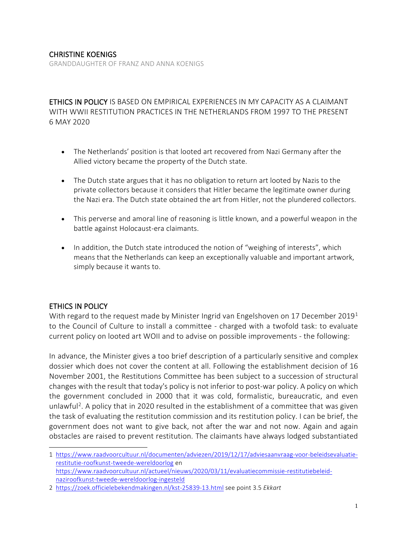GRANDDAUGHTER OF FRANZ AND ANNA KOENIGS

ETHICS IN POLICY IS BASED ON EMPIRICAL EXPERIENCES IN MY CAPACITY AS A CLAIMANT WITH WWII RESTITUTION PRACTICES IN THE NETHERLANDS FROM 1997 TO THE PRESENT 6 MAY 2020

- The Netherlands' position is that looted art recovered from Nazi Germany after the Allied victory became the property of the Dutch state.
- The Dutch state argues that it has no obligation to return art looted by Nazis to the private collectors because it considers that Hitler became the legitimate owner during the Nazi era. The Dutch state obtained the art from Hitler, not the plundered collectors.
- This perverse and amoral line of reasoning is little known, and a powerful weapon in the battle against Holocaust-era claimants.
- In addition, the Dutch state introduced the notion of "weighing of interests", which means that the Netherlands can keep an exceptionally valuable and important artwork, simply because it wants to.

### ETHICS IN POLICY

With regard to the request made by Minister Ingrid van Engelshoven on [1](#page-0-0)7 December 2019<sup>1</sup> to the Council of Culture to install a committee - charged with a twofold task: to evaluate current policy on looted art WOII and to advise on possible improvements - the following:

In advance, the Minister gives a too brief description of a particularly sensitive and complex dossier which does not cover the content at all. Following the establishment decision of 16 November 2001, the Restitutions Committee has been subject to a succession of structural changes with the result that today's policy is not inferior to post-war policy. A policy on which the government concluded in 2000 that it was cold, formalistic, bureaucratic, and even unlawful<sup>[2](#page-0-1)</sup>. A policy that in 2020 resulted in the establishment of a committee that was given the task of evaluating the restitution commission and its restitution policy. I can be brief, the government does not want to give back, not after the war and not now. Again and again obstacles are raised to prevent restitution. The claimants have always lodged substantiated

<span id="page-0-0"></span><sup>1</sup> [https://www.raadvoorcultuur.nl/documenten/adviezen/2019/12/17/adviesaanvraag-voor-beleidsevaluatie](https://www.raadvoorcultuur.nl/documenten/adviezen/2019/12/17/adviesaanvraag-voor-beleidsevaluatie-restitutie-roofkunst-tweede-wereldoorlog)[restitutie-roofkunst-tweede-wereldoorlog](https://www.raadvoorcultuur.nl/documenten/adviezen/2019/12/17/adviesaanvraag-voor-beleidsevaluatie-restitutie-roofkunst-tweede-wereldoorlog) en [https://www.raadvoorcultuur.nl/actueel/nieuws/2020/03/11/evaluatiecommissie-restitutiebeleid](https://www.raadvoorcultuur.nl/actueel/nieuws/2020/03/11/evaluatiecommissie-restitutiebeleid-naziroofkunst-tweede-wereldoorlog-ingesteld)[naziroofkunst-tweede-wereldoorlog-ingesteld](https://www.raadvoorcultuur.nl/actueel/nieuws/2020/03/11/evaluatiecommissie-restitutiebeleid-naziroofkunst-tweede-wereldoorlog-ingesteld)

<span id="page-0-1"></span>[<sup>2</sup> https://zoek.officielebekendmakingen.nl/kst-25839-13.html](https://zoek.officielebekendmakingen.nl/kst-25839-13.html) see point 3.5 *Ekkart*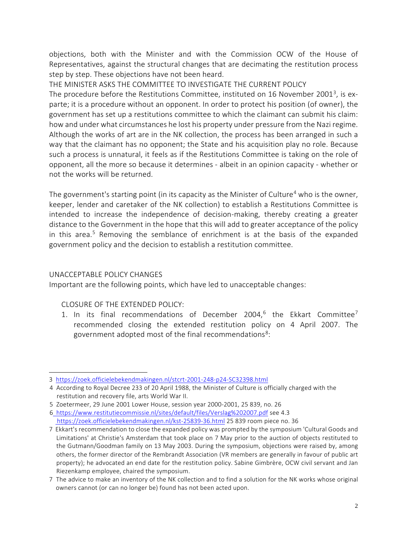objections, both with the Minister and with the Commission OCW of the House of Representatives, against the structural changes that are decimating the restitution process step by step. These objections have not been heard.

THE MINISTER ASKS THE COMMITTEE TO INVESTIGATE THE CURRENT POLICY The procedure before the Restitutions Committee, instituted on 16 November 2001<sup>3</sup>, is ex-

parte; it is a procedure without an opponent. In order to protect his position (of owner), the government has set up a restitutions committee to which the claimant can submit his claim: how and under what circumstances he lost his property under pressure from the Nazi regime. Although the works of art are in the NK collection, the process has been arranged in such a way that the claimant has no opponent; the State and his acquisition play no role. Because such a process is unnatural, it feels as if the Restitutions Committee is taking on the role of opponent, all the more so because it determines - albeit in an opinion capacity - whether or not the works will be returned.

The government's starting point (in its capacity as the Minister of Culture<sup>[4](#page-1-1)</sup> who is the owner, keeper, lender and caretaker of the NK collection) to establish a Restitutions Committee is intended to increase the independence of decision-making, thereby creating a greater distance to the Government in the hope that this will add to greater acceptance of the policy in this area.<sup>[5](#page-1-2)</sup> Removing the semblance of enrichment is at the basis of the expanded government policy and the decision to establish a restitution committee.

## UNACCEPTABLE POLICY CHANGES

Important are the following points, which have led to unacceptable changes:

## CLOSURE OF THE EXTENDED POLICY:

1. In its final recommendations of December 2004,<sup>[6](#page-1-3)</sup> the Ekkart Committee<sup>7</sup> recommended closing the extended restitution policy on 4 April 2007. The government adopted most of the final recommendations<sup>[8](#page-1-5)</sup>:

<span id="page-1-0"></span><sup>3</sup> <https://zoek.officielebekendmakingen.nl/stcrt-2001-248-p24-SC32398.html>

<span id="page-1-1"></span><sup>4</sup> According to Royal Decree 233 of 20 April 1988, the Minister of Culture is officially charged with the restitution and recovery file, arts World War II.

<span id="page-1-2"></span><sup>5</sup> Zoetermeer, 29 June 2001 Lower House, session year 2000-2001, 25 839, no. 26

<span id="page-1-3"></span>[<sup>6</sup> https://www.restitutiecommissie.nl/sites/default/files/Verslag%202007.pdf](https://www.restitutiecommissie.nl/sites/default/files/Verslag%202007.pdf) see 4.3 <https://zoek.officielebekendmakingen.nl/kst-25839-36.html> 25 839 room piece no. 36

<span id="page-1-4"></span><sup>7</sup> Ekkart's recommendation to close the expanded policy was prompted by the symposium 'Cultural Goods and Limitations' at Christie's Amsterdam that took place on 7 May prior to the auction of objects restituted to the Gutmann/Goodman family on 13 May 2003. During the symposium, objections were raised by, among others, the former director of the Rembrandt Association (VR members are generally in favour of public art property); he advocated an end date for the restitution policy. Sabine Gimbrère, OCW civil servant and Jan Riezenkamp employee, chaired the symposium.

<span id="page-1-5"></span><sup>7</sup> The advice to make an inventory of the NK collection and to find a solution for the NK works whose original owners cannot (or can no longer be) found has not been acted upon.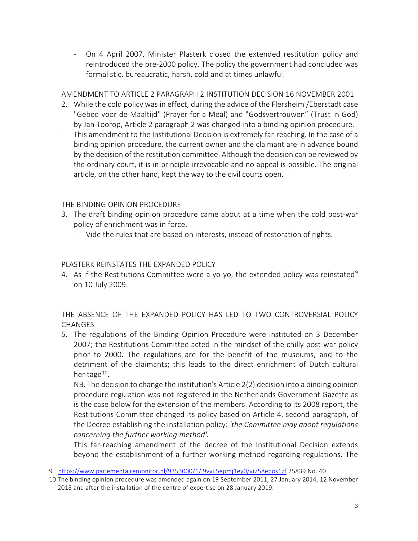- On 4 April 2007, Minister Plasterk closed the extended restitution policy and reintroduced the pre-2000 policy. The policy the government had concluded was formalistic, bureaucratic, harsh, cold and at times unlawful.

# AMENDMENT TO ARTICLE 2 PARAGRAPH 2 INSTITUTION DECISION 16 NOVEMBER 2001

- 2. While the cold policy was in effect, during the advice of the Flersheim /Eberstadt case "Gebed voor de Maaltijd" (Prayer for a Meal) and "Godsvertrouwen" (Trust in God) by Jan Toorop, Article 2 paragraph 2 was changed into a binding opinion procedure.
- This amendment to the Institutional Decision is extremely far-reaching. In the case of a binding opinion procedure, the current owner and the claimant are in advance bound by the decision of the restitution committee. Although the decision can be reviewed by the ordinary court, it is in principle irrevocable and no appeal is possible. The original article, on the other hand, kept the way to the civil courts open.

# THE BINDING OPINION PROCEDURE

- 3. The draft binding opinion procedure came about at a time when the cold post-war policy of enrichment was in force.
	- Vide the rules that are based on interests, instead of restoration of rights.

# PLASTERK REINSTATES THE EXPANDED POLICY

4. As if the Restitutions Committee were a yo-yo, the extended policy was reinstated<sup>[9](#page-2-0)</sup> on 10 July 2009.

THE ABSENCE OF THE EXPANDED POLICY HAS LED TO TWO CONTROVERSIAL POLICY CHANGES

5. The regulations of the Binding Opinion Procedure were instituted on 3 December 2007; the Restitutions Committee acted in the mindset of the chilly post-war policy prior to 2000. The regulations are for the benefit of the museums, and to the detriment of the claimants; this leads to the direct enrichment of Dutch cultural heritage $10$ .

NB. The decision to change the institution's Article 2(2) decision into a binding opinion procedure regulation was not registered in the Netherlands Government Gazette as is the case below for the extension of the members. According to its 2008 report, the Restitutions Committee changed its policy based on Article 4, second paragraph, of the Decree establishing the installation policy: *'the Committee may adopt regulations concerning the further working method'.* 

This far-reaching amendment of the decree of the Institutional Decision extends beyond the establishment of a further working method regarding regulations. The

<span id="page-2-0"></span><sup>9</sup> <https://www.parlementairemonitor.nl/9353000/1/j9vvij5epmj1ey0/vi758epos1zf> 25839 No. 40

<span id="page-2-1"></span><sup>10</sup> The binding opinion procedure was amended again on 19 September 2011, 27 January 2014, 12 November 2018 and after the installation of the centre of expertise on 28 January 2019.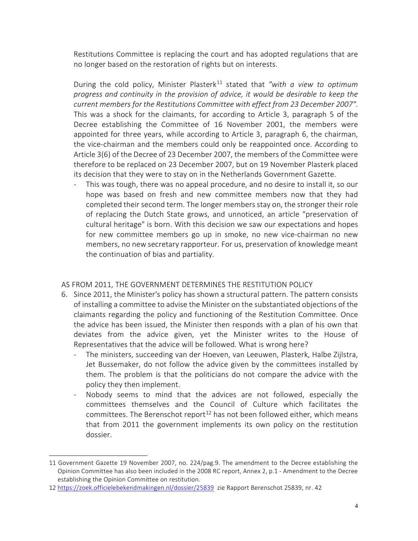Restitutions Committee is replacing the court and has adopted regulations that are no longer based on the restoration of rights but on interests.

During the cold policy. Minister Plasterk<sup>[11](#page-3-0)</sup> stated that "with a view to optimum *progress and continuity in the provision of advice, it would be desirable to keep the current members for the Restitutions Committee with effect from 23 December 2007"*. This was a shock for the claimants, for according to Article 3, paragraph 5 of the Decree establishing the Committee of 16 November 2001, the members were appointed for three years, while according to Article 3, paragraph 6, the chairman, the vice-chairman and the members could only be reappointed once. According to Article 3(6) of the Decree of 23 December 2007, the members of the Committee were therefore to be replaced on 23 December 2007, but on 19 November Plasterk placed its decision that they were to stay on in the Netherlands Government Gazette.

- This was tough, there was no appeal procedure, and no desire to install it, so our hope was based on fresh and new committee members now that they had completed their second term. The longer members stay on, the stronger their role of replacing the Dutch State grows, and unnoticed, an article "preservation of cultural heritage" is born. With this decision we saw our expectations and hopes for new committee members go up in smoke, no new vice-chairman no new members, no new secretary rapporteur. For us, preservation of knowledge meant the continuation of bias and partiality.

## AS FROM 2011, THE GOVERNMENT DETERMINES THE RESTITUTION POLICY

- 6. Since 2011, the Minister's policy has shown a structural pattern. The pattern consists of installing a committee to advise the Minister on the substantiated objections of the claimants regarding the policy and functioning of the Restitution Committee. Once the advice has been issued, the Minister then responds with a plan of his own that deviates from the advice given, yet the Minister writes to the House of Representatives that the advice will be followed. What is wrong here?
	- The ministers, succeeding van der Hoeven, van Leeuwen, Plasterk, Halbe Zijlstra, Jet Bussemaker, do not follow the advice given by the committees installed by them. The problem is that the politicians do not compare the advice with the policy they then implement.
	- Nobody seems to mind that the advices are not followed, especially the committees themselves and the Council of Culture which facilitates the committees. The Berenschot report<sup>[12](#page-3-1)</sup> has not been followed either, which means that from 2011 the government implements its own policy on the restitution dossier.

<span id="page-3-0"></span><sup>11</sup> Government Gazette 19 November 2007, no. 224/pag.9. The amendment to the Decree establishing the Opinion Committee has also been included in the 2008 RC report, Annex 2, p.1 - Amendment to the Decree establishing the Opinion Committee on restitution.

<span id="page-3-1"></span><sup>12</sup> <https://zoek.officielebekendmakingen.nl/dossier/25839>zie Rapport Berenschot 25839, nr. 42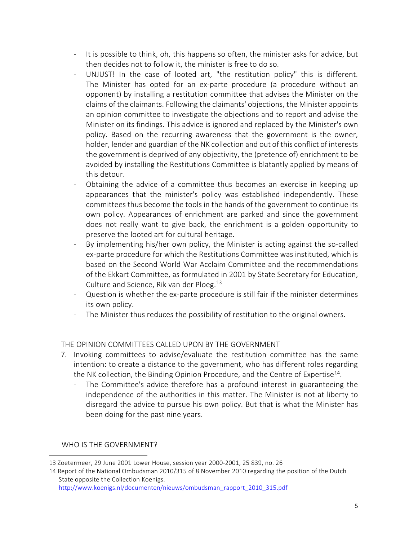- It is possible to think, oh, this happens so often, the minister asks for advice, but then decides not to follow it, the minister is free to do so.
- UNJUST! In the case of looted art, "the restitution policy" this is different. The Minister has opted for an ex-parte procedure (a procedure without an opponent) by installing a restitution committee that advises the Minister on the claims of the claimants. Following the claimants' objections, the Minister appoints an opinion committee to investigate the objections and to report and advise the Minister on its findings. This advice is ignored and replaced by the Minister's own policy. Based on the recurring awareness that the government is the owner, holder, lender and guardian of the NK collection and out of this conflict of interests the government is deprived of any objectivity, the (pretence of) enrichment to be avoided by installing the Restitutions Committee is blatantly applied by means of this detour.
- Obtaining the advice of a committee thus becomes an exercise in keeping up appearances that the minister's policy was established independently. These committees thus become the tools in the hands of the government to continue its own policy. Appearances of enrichment are parked and since the government does not really want to give back, the enrichment is a golden opportunity to preserve the looted art for cultural heritage.
- By implementing his/her own policy, the Minister is acting against the so-called ex-parte procedure for which the Restitutions Committee was instituted, which is based on the Second World War Acclaim Committee and the recommendations of the Ekkart Committee, as formulated in 2001 by State Secretary for Education, Culture and Science, Rik van der Ploeg.<sup>[13](#page-4-0)</sup>
- Question is whether the ex-parte procedure is still fair if the minister determines its own policy.
- The Minister thus reduces the possibility of restitution to the original owners.

## THE OPINION COMMITTEES CALLED UPON BY THE GOVERNMENT

- 7. Invoking committees to advise/evaluate the restitution committee has the same intention: to create a distance to the government, who has different roles regarding the NK collection, the Binding Opinion Procedure, and the Centre of Expertise<sup>[14](#page-4-1)</sup>.
	- The Committee's advice therefore has a profound interest in guaranteeing the independence of the authorities in this matter. The Minister is not at liberty to disregard the advice to pursue his own policy. But that is what the Minister has been doing for the past nine years.

### WHO IS THE GOVERNMENT?

[http://www.koenigs.nl/documenten/nieuws/ombudsman\\_rapport\\_2010\\_315.pdf](http://www.koenigs.nl/documenten/nieuws/ombudsman_rapport_2010_315.pdf)

<span id="page-4-0"></span><sup>13</sup> Zoetermeer, 29 June 2001 Lower House, session year 2000-2001, 25 839, no. 26

<span id="page-4-1"></span><sup>14</sup> Report of the National Ombudsman 2010/315 of 8 November 2010 regarding the position of the Dutch State opposite the Collection Koenigs.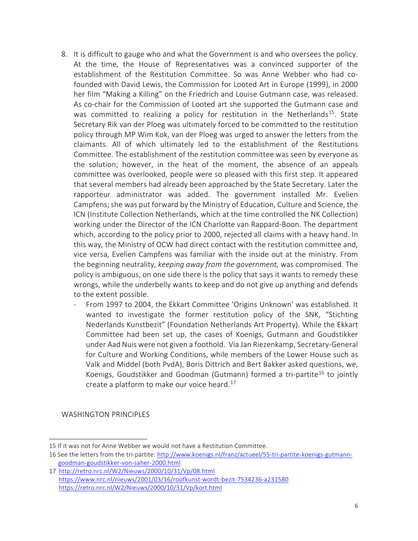- 8. It is difficult to gauge who and what the Government is and who oversees the policy. At the time, the House of Representatives was a convinced supporter of the establishment of the Restitution Committee. So was Anne Webber who had cofounded with David Lewis, the Commission for Looted Art in Europe (1999), in 2000 her film "Making a Killing" on the Friedrich and Louise Gutmann case, was released. As co-chair for the Commission of Looted art she supported the Gutmann case and was committed to realizing a policy for restitution in the Netherlands<sup>15</sup>. State Secretary Rik van der Ploeg was ultimately forced to be committed to the restitution policy through MP Wim Kok, van der Ploeg was urged to answer the letters from the claimants. All of which ultimately led to the establishment of the Restitutions Committee. The establishment of the restitution committee was seen by everyone as the solution; however, in the heat of the moment, the absence of an appeals committee was overlooked, people were so pleased with this first step. It appeared that several members had already been approached by the State Secretary. Later the rapporteur administrator was added. The government installed Mr. Evelien Campfens; she was put forward by the Ministry of Education, Culture and Science, the ICN (Institute Collection Netherlands, which at the time controlled the NK Collection) working under the Director of the ICN Charlotte van Rappard-Boon. The department which, according to the policy prior to 2000, rejected all claims with a heavy hand. In this way, the Ministry of OCW had direct contact with the restitution committee and, vice versa, Evelien Campfens was familiar with the inside out at the ministry. From the beginning neutrality, *keeping away from the government,* was compromised. The policy is ambiguous, on one side there is the policy that says it wants to remedy these wrongs, while the underbelly wants to keep and do not give up anything and defends to the extent possible.
	- From 1997 to 2004, the Ekkart Committee 'Origins Unknown' was established. It wanted to investigate the former restitution policy of the SNK, "Stichting Nederlands Kunstbezit" (Foundation Netherlands Art Property). While the Ekkart Committee had been set up, the cases of Koenigs, Gutmann and Goudstikker under Aad Nuis were not given a foothold. Via Jan Riezenkamp, Secretary-General for Culture and Working Conditions, while members of the Lower House such as Valk and Middel (both PvdA), Boris Dittrich and Bert Bakker asked questions, we, Koenigs, Goudstikker and Goodman (Gutmann) formed a tri-partite<sup>[16](#page-5-1)</sup> to jointly create a platform to make our voice heard. [17](#page-5-2)

WASHINGTON PRINCIPLES

<span id="page-5-0"></span><sup>15</sup> If it was not for Anne Webber we would not have a Restitution Committee.

<span id="page-5-1"></span><sup>16</sup> See the letters from the tri-partite: [http://www.koenigs.nl/franz/actueel/55-tri-partite-koenigs-gutmann](http://www.koenigs.nl/franz/actueel/55-tri-partite-koenigs-gutmann-goodman-goudstikker-von-saher-2000.html)[goodman-goudstikker-von-saher-2000.html](http://www.koenigs.nl/franz/actueel/55-tri-partite-koenigs-gutmann-goodman-goudstikker-von-saher-2000.html)

<span id="page-5-2"></span><sup>17</sup> <http://retro.nrc.nl/W2/Nieuws/2000/10/31/Vp/08.html> <https://www.nrc.nl/nieuws/2001/03/16/roofkunst-wordt-bezit-7534236-a231580> <https://retro.nrc.nl/W2/Nieuws/2000/10/31/Vp/kort.html>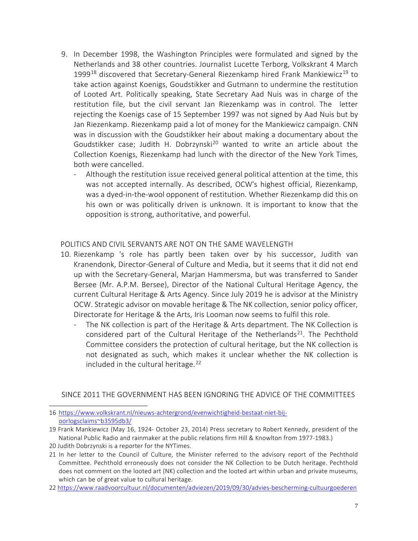- 9. In December 1998, the Washington Principles were formulated and signed by the Netherlands and 38 other countries. Journalist Lucette Terborg, Volkskrant 4 March 1999<sup>[18](#page-6-0)</sup> discovered that Secretary-General Riezenkamp hired Frank Mankiewicz<sup>[19](#page-6-1)</sup> to take action against Koenigs, Goudstikker and Gutmann to undermine the restitution of Looted Art. Politically speaking, State Secretary Aad Nuis was in charge of the restitution file, but the civil servant Jan Riezenkamp was in control. The letter rejecting the Koenigs case of 15 September 1997 was not signed by Aad Nuis but by Jan Riezenkamp. Riezenkamp paid a lot of money for the Mankiewicz campaign. CNN was in discussion with the Goudstikker heir about making a documentary about the Goudstikker case; Judith H. Dobrzynski<sup>[20](#page-6-2)</sup> wanted to write an article about the Collection Koenigs, Riezenkamp had lunch with the director of the New York Times, both were cancelled.
	- Although the restitution issue received general political attention at the time, this was not accepted internally. As described, OCW's highest official, Riezenkamp, was a dyed-in-the-wool opponent of restitution. Whether Riezenkamp did this on his own or was politically driven is unknown. It is important to know that the opposition is strong, authoritative, and powerful.

### POLITICS AND CIVIL SERVANTS ARE NOT ON THE SAME WAVELENGTH

- 10. Riezenkamp 's role has partly been taken over by his successor, Judith van Kranendonk, Director-General of Culture and Media, but it seems that it did not end up with the Secretary-General, Marjan Hammersma, but was transferred to Sander Bersee (Mr. A.P.M. Bersee), Director of the National Cultural Heritage Agency, the current Cultural Heritage & Arts Agency. Since July 2019 he is advisor at the Ministry OCW. Strategic advisor on movable heritage & The NK collection, senior policy officer, Directorate for Heritage & the Arts, Iris Looman now seems to fulfil this role.
	- The NK collection is part of the Heritage & Arts department. The NK Collection is considered part of the Cultural Heritage of the Netherlands<sup>21</sup>. The Pechthold Committee considers the protection of cultural heritage, but the NK collection is not designated as such, which makes it unclear whether the NK collection is included in the cultural heritage. $22$

## SINCE 2011 THE GOVERNMENT HAS BEEN IGNORING THE ADVICE OF THE COMMITTEES

- <span id="page-6-0"></span>16 [https://www.volkskrant.nl/nieuws-achtergrond/evenwichtigheid-bestaat-niet-bij](https://www.volkskrant.nl/nieuws-achtergrond/evenwichtigheid-bestaat-niet-bij-oorlogsclaims%7Eb3595db3/)[oorlogsclaims~b3595db3/](https://www.volkskrant.nl/nieuws-achtergrond/evenwichtigheid-bestaat-niet-bij-oorlogsclaims%7Eb3595db3/)
- <span id="page-6-1"></span>19 Frank Mankiewicz (May 16, 1924- October 23, 2014) Press secretary to Robert Kennedy, president of the National Public Radio and rainmaker at the public relations firm Hill & Knowlton from 1977-1983.)
- <span id="page-6-2"></span>20 Judith Dobrzynski is a reporter for the NYTimes.
- <span id="page-6-3"></span>21 In her letter to the Council of Culture, the Minister referred to the advisory report of the Pechthold Committee. Pechthold erroneously does not consider the NK Collection to be Dutch heritage. Pechthold does not comment on the looted art (NK) collection and the looted art within urban and private museums, which can be of great value to cultural heritage.
- <span id="page-6-4"></span>22 <https://www.raadvoorcultuur.nl/documenten/adviezen/2019/09/30/advies-bescherming-cultuurgoederen>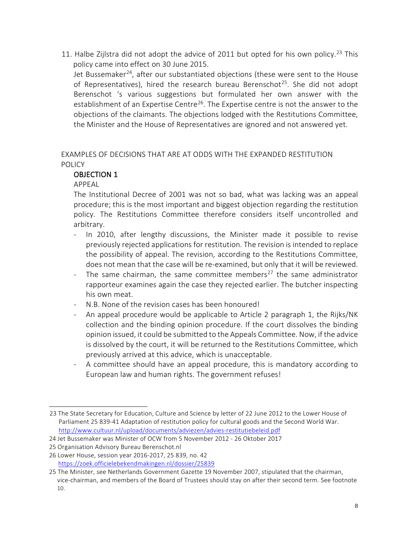11. Halbe Zijlstra did not adopt the advice of 2011 but opted for his own policy.<sup>[23](#page-7-0)</sup> This policy came into effect on 30 June 2015.

Jet Bussemaker<sup>[24](#page-7-1)</sup>, after our substantiated objections (these were sent to the House of Representatives), hired the research bureau Berenschot<sup>25</sup>. She did not adopt Berenschot 's various suggestions but formulated her own answer with the establishment of an Expertise Centre<sup>26</sup>. The Expertise centre is not the answer to the objections of the claimants. The objections lodged with the Restitutions Committee, the Minister and the House of Representatives are ignored and not answered yet.

# EXAMPLES OF DECISIONS THAT ARE AT ODDS WITH THE EXPANDED RESTITUTION POLICY

# OBJECTION 1

APPEAL

The Institutional Decree of 2001 was not so bad, what was lacking was an appeal procedure; this is the most important and biggest objection regarding the restitution policy. The Restitutions Committee therefore considers itself uncontrolled and arbitrary.

- In 2010, after lengthy discussions, the Minister made it possible to revise previously rejected applications for restitution. The revision is intended to replace the possibility of appeal. The revision, according to the Restitutions Committee, does not mean that the case will be re-examined, but only that it will be reviewed.
- The same chairman, the same committee members<sup>[27](#page-7-4)</sup> the same administrator rapporteur examines again the case they rejected earlier. The butcher inspecting his own meat.
- N.B. None of the revision cases has been honoured!
- An appeal procedure would be applicable to Article 2 paragraph 1, the Rijks/NK collection and the binding opinion procedure. If the court dissolves the binding opinion issued, it could be submitted to the Appeals Committee. Now, if the advice is dissolved by the court, it will be returned to the Restitutions Committee, which previously arrived at this advice, which is unacceptable.
- A committee should have an appeal procedure, this is mandatory according to European law and human rights. The government refuses!

<span id="page-7-0"></span><sup>23</sup> The State Secretary for Education, Culture and Science by letter of 22 June 2012 to the Lower House of Parliament 25 839-41 Adaptation of restitution policy for cultural goods and the Second World War. <http://www.cultuur.nl/upload/documents/adviezen/advies-restitutiebeleid.pdf>

<span id="page-7-1"></span><sup>24</sup> Jet Bussemaker was Minister of OCW from 5 November 2012 - 26 Oktober 2017

<span id="page-7-2"></span><sup>25</sup> Organisation Advisory Bureau Berenschot.nl

<span id="page-7-3"></span><sup>26</sup> Lower House, session year 2016-2017, 25 839, no. 4[2](https://zoek.officielebekendmakingen.nl/dossier/25839) <https://zoek.officielebekendmakingen.nl/dossier/25839>

<span id="page-7-4"></span><sup>25</sup> The Minister, see Netherlands Government Gazette 19 November 2007, stipulated that the chairman, vice-chairman, and members of the Board of Trustees should stay on after their second term. See footnote 10.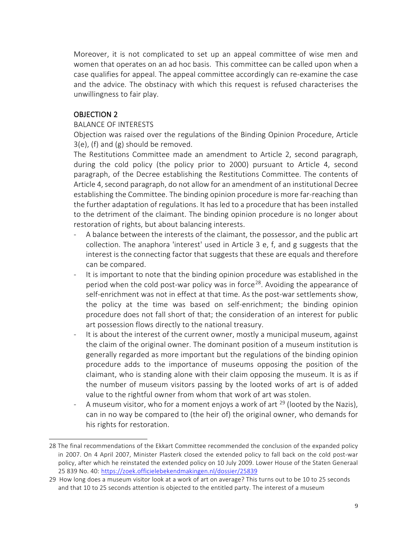Moreover, it is not complicated to set up an appeal committee of wise men and women that operates on an ad hoc basis. This committee can be called upon when a case qualifies for appeal. The appeal committee accordingly can re-examine the case and the advice. The obstinacy with which this request is refused characterises the unwillingness to fair play.

# OBJECTION 2

### BALANCE OF INTERESTS

Objection was raised over the regulations of the Binding Opinion Procedure, Article 3(e), (f) and (g) should be removed.

The Restitutions Committee made an amendment to Article 2, second paragraph, during the cold policy (the policy prior to 2000) pursuant to Article 4, second paragraph, of the Decree establishing the Restitutions Committee. The contents of Article 4, second paragraph, do not allow for an amendment of an institutional Decree establishing the Committee. The binding opinion procedure is more far-reaching than the further adaptation of regulations. It has led to a procedure that has been installed to the detriment of the claimant. The binding opinion procedure is no longer about restoration of rights, but about balancing interests.

- A balance between the interests of the claimant, the possessor, and the public art collection. The anaphora 'interest' used in Article 3 e, f, and g suggests that the interest is the connecting factor that suggests that these are equals and therefore can be compared.
- It is important to note that the binding opinion procedure was established in the period when the cold post-war policy was in force<sup>[28](#page-8-0)</sup>. Avoiding the appearance of self-enrichment was not in effect at that time. As the post-war settlements show, the policy at the time was based on self-enrichment; the binding opinion procedure does not fall short of that; the consideration of an interest for public art possession flows directly to the national treasury.
- It is about the interest of the current owner, mostly a municipal museum, against the claim of the original owner. The dominant position of a museum institution is generally regarded as more important but the regulations of the binding opinion procedure adds to the importance of museums opposing the position of the claimant, who is standing alone with their claim opposing the museum. It is as if the number of museum visitors passing by the looted works of art is of added value to the rightful owner from whom that work of art was stolen.
- A museum visitor, who for a moment enjoys a work of art  $^{29}$  $^{29}$  $^{29}$  (looted by the Nazis), can in no way be compared to (the heir of) the original owner, who demands for his rights for restoration.

<span id="page-8-0"></span><sup>28</sup> The final recommendations of the Ekkart Committee recommended the conclusion of the expanded policy in 2007. On 4 April 2007, Minister Plasterk closed the extended policy to fall back on the cold post-war policy, after which he reinstated the extended policy on 10 July 2009. Lower House of the Staten Generaal 25 839 No. 40: <https://zoek.officielebekendmakingen.nl/dossier/25839>

<span id="page-8-1"></span><sup>29</sup> How long does a museum visitor look at a work of art on average? This turns out to be 10 to 25 seconds and that 10 to 25 seconds attention is objected to the entitled party. The interest of a museum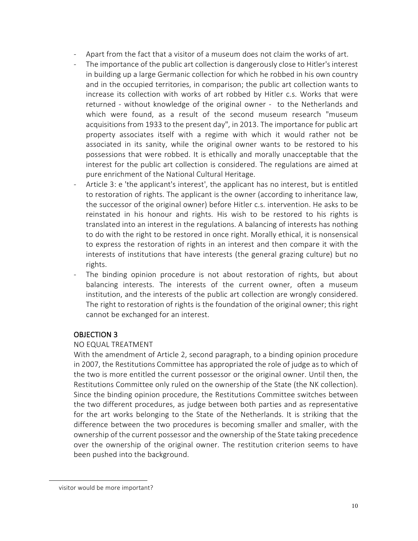- Apart from the fact that a visitor of a museum does not claim the works of art.
- The importance of the public art collection is dangerously close to Hitler's interest in building up a large Germanic collection for which he robbed in his own country and in the occupied territories, in comparison; the public art collection wants to increase its collection with works of art robbed by Hitler c.s. Works that were returned - without knowledge of the original owner - to the Netherlands and which were found, as a result of the second museum research "museum acquisitions from 1933 to the present day", in 2013. The importance for public art property associates itself with a regime with which it would rather not be associated in its sanity, while the original owner wants to be restored to his possessions that were robbed. It is ethically and morally unacceptable that the interest for the public art collection is considered. The regulations are aimed at pure enrichment of the National Cultural Heritage.
- Article 3: e 'the applicant's interest', the applicant has no interest, but is entitled to restoration of rights. The applicant is the owner (according to inheritance law, the successor of the original owner) before Hitler c.s. intervention. He asks to be reinstated in his honour and rights. His wish to be restored to his rights is translated into an interest in the regulations. A balancing of interests has nothing to do with the right to be restored in once right. Morally ethical, it is nonsensical to express the restoration of rights in an interest and then compare it with the interests of institutions that have interests (the general grazing culture) but no rights.
- The binding opinion procedure is not about restoration of rights, but about balancing interests. The interests of the current owner, often a museum institution, and the interests of the public art collection are wrongly considered. The right to restoration of rights is the foundation of the original owner; this right cannot be exchanged for an interest.

## OBJECTION 3

### NO EQUAL TREATMENT

With the amendment of Article 2, second paragraph, to a binding opinion procedure in 2007, the Restitutions Committee has appropriated the role of judge as to which of the two is more entitled the current possessor or the original owner. Until then, the Restitutions Committee only ruled on the ownership of the State (the NK collection). Since the binding opinion procedure, the Restitutions Committee switches between the two different procedures, as judge between both parties and as representative for the art works belonging to the State of the Netherlands. It is striking that the difference between the two procedures is becoming smaller and smaller, with the ownership of the current possessor and the ownership of the State taking precedence over the ownership of the original owner. The restitution criterion seems to have been pushed into the background.

visitor would be more important?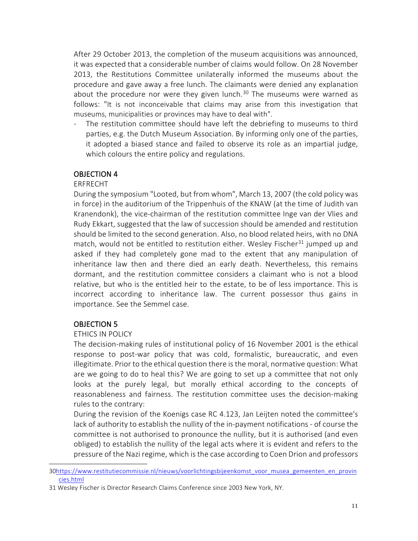After 29 October 2013, the completion of the museum acquisitions was announced, it was expected that a considerable number of claims would follow. On 28 November 2013, the Restitutions Committee unilaterally informed the museums about the procedure and gave away a free lunch. The claimants were denied any explanation about the procedure nor were they given lunch.<sup>[30](#page-10-0)</sup> The museums were warned as follows: "It is not inconceivable that claims may arise from this investigation that museums, municipalities or provinces may have to deal with".

- The restitution committee should have left the debriefing to museums to third parties, e.g. the Dutch Museum Association. By informing only one of the parties, it adopted a biased stance and failed to observe its role as an impartial judge, which colours the entire policy and regulations.

### OBJECTION 4

### ERFRECHT

During the symposium "Looted, but from whom", March 13, 2007 (the cold policy was in force) in the auditorium of the Trippenhuis of the KNAW (at the time of Judith van Kranendonk), the vice-chairman of the restitution committee Inge van der Vlies and Rudy Ekkart, suggested that the law of succession should be amended and restitution should be limited to the second generation. Also, no blood related heirs, with no DNA match, would not be entitled to restitution either. Wesley Fischer<sup>[31](#page-10-1)</sup> jumped up and asked if they had completely gone mad to the extent that any manipulation of inheritance law then and there died an early death. Nevertheless, this remains dormant, and the restitution committee considers a claimant who is not a blood relative, but who is the entitled heir to the estate, to be of less importance. This is incorrect according to inheritance law. The current possessor thus gains in importance. See the Semmel case.

### OBJECTION 5

### ETHICS IN POLICY

The decision-making rules of institutional policy of 16 November 2001 is the ethical response to post-war policy that was cold, formalistic, bureaucratic, and even illegitimate. Prior to the ethical question there is the moral, normative question: What are we going to do to heal this? We are going to set up a committee that not only looks at the purely legal, but morally ethical according to the concepts of reasonableness and fairness. The restitution committee uses the decision-making rules to the contrary:

During the revision of the Koenigs case RC 4.123, Jan Leijten noted the committee's lack of authority to establish the nullity of the in-payment notifications - of course the committee is not authorised to pronounce the nullity, but it is authorised (and even obliged) to establish the nullity of the legal acts where it is evident and refers to the pressure of the Nazi regime, which is the case according to Coen Drion and professors

<span id="page-10-0"></span><sup>3</sup>[0https://www.restitutiecommissie.nl/nieuws/voorlichtingsbijeenkomst\\_voor\\_musea\\_gemeenten\\_en\\_provin](https://www.restitutiecommissie.nl/nieuws/voorlichtingsbijeenkomst_voor_musea_gemeenten_en_provincies.html) [cies.html](https://www.restitutiecommissie.nl/nieuws/voorlichtingsbijeenkomst_voor_musea_gemeenten_en_provincies.html)

<span id="page-10-1"></span><sup>31</sup> Wesley Fischer is Director Research Claims Conference since 2003 New York, NY.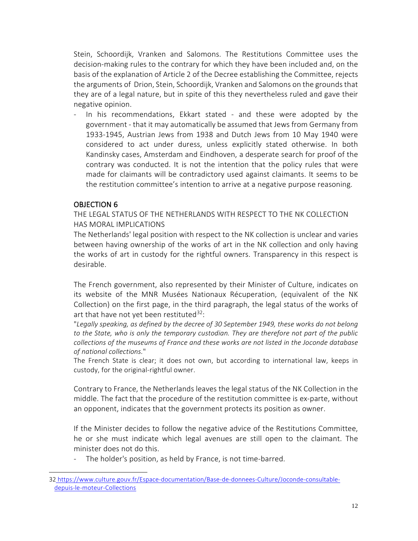Stein, Schoordijk, Vranken and Salomons. The Restitutions Committee uses the decision-making rules to the contrary for which they have been included and, on the basis of the explanation of Article 2 of the Decree establishing the Committee, rejects the arguments of Drion, Stein, Schoordijk, Vranken and Salomons on the grounds that they are of a legal nature, but in spite of this they nevertheless ruled and gave their negative opinion.

In his recommendations, Ekkart stated - and these were adopted by the government - that it may automatically be assumed that Jews from Germany from 1933-1945, Austrian Jews from 1938 and Dutch Jews from 10 May 1940 were considered to act under duress, unless explicitly stated otherwise. In both Kandinsky cases, Amsterdam and Eindhoven, a desperate search for proof of the contrary was conducted. It is not the intention that the policy rules that were made for claimants will be contradictory used against claimants. It seems to be the restitution committee's intention to arrive at a negative purpose reasoning.

## OBJECTION 6

THE LEGAL STATUS OF THE NETHERLANDS WITH RESPECT TO THE NK COLLECTION HAS MORAL IMPLICATIONS

The Netherlands' legal position with respect to the NK collection is unclear and varies between having ownership of the works of art in the NK collection and only having the works of art in custody for the rightful owners. Transparency in this respect is desirable.

The French government, also represented by their Minister of Culture, indicates on its website of the MNR Musées Nationaux Récuperation, (equivalent of the NK Collection) on the first page, in the third paragraph, the legal status of the works of art that have not yet been restituted<sup>32</sup>:

"*Legally speaking, as defined by the decree of 30 September 1949, these works do not belong to the State, who is only the temporary custodian. They are therefore not part of the public collections of the museums of France and these works are not listed in the Joconde [database](https://www.culture.gouv.fr/Espace-documentation/Ressources-en-ligne/Joconde-consultable-depuis-le-moteur-Collections)  [of](https://www.culture.gouv.fr/Espace-documentation/Ressources-en-ligne/Joconde-consultable-depuis-le-moteur-Collections) national collections.*"

The French State is clear; it does not own, but according to international law, keeps in custody, for the original-rightful owner.

Contrary to France, the Netherlands leaves the legal status of the NK Collection in the middle. The fact that the procedure of the restitution committee is ex-parte, without an opponent, indicates that the government protects its position as owner.

If the Minister decides to follow the negative advice of the Restitutions Committee, he or she must indicate which legal avenues are still open to the claimant. The minister does not do this.

- The holder's position, as held by France, is not time-barred.

<span id="page-11-0"></span><sup>32</sup> [https://www.culture.gouv.fr/Espace-documentation/Base-de-donnees-Culture/Joconde-consultable](https://www.culture.gouv.fr/Espace-documentation/Base-de-donnees-Culture/Joconde-consultable-depuis-le-moteur-Collections)[depuis-le-moteur-Collections](https://www.culture.gouv.fr/Espace-documentation/Base-de-donnees-Culture/Joconde-consultable-depuis-le-moteur-Collections)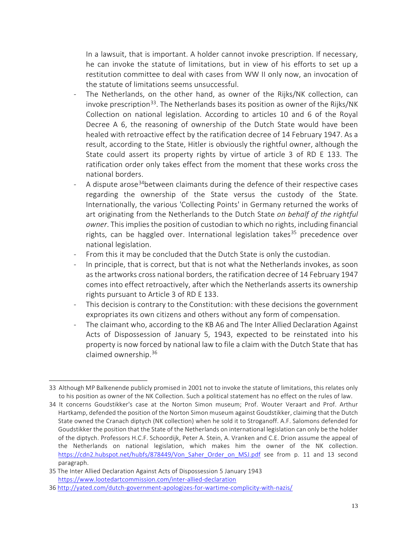In a lawsuit, that is important. A holder cannot invoke prescription. If necessary, he can invoke the statute of limitations, but in view of his efforts to set up a restitution committee to deal with cases from WW II only now, an invocation of the statute of limitations seems unsuccessful.

- The Netherlands, on the other hand, as owner of the Rijks/NK collection, can invoke prescription<sup>33</sup>. The Netherlands bases its position as owner of the Rijks/NK Collection on national legislation. According to articles 10 and 6 of the Royal Decree A 6, the reasoning of ownership of the Dutch State would have been healed with retroactive effect by the ratification decree of 14 February 1947. As a result, according to the State, Hitler is obviously the rightful owner, although the State could assert its property rights by virtue of article 3 of RD E 133. The ratification order only takes effect from the moment that these works cross the national borders.
- A dispute arose<sup>[34](#page-12-1)</sup>between claimants during the defence of their respective cases regarding the ownership of the State versus the custody of the State. Internationally, the various 'Collecting Points' in Germany returned the works of art originating from the Netherlands to the Dutch State *on behalf of the rightful owner*. This implies the position of custodian to which no rights, including financial rights, can be haggled over. International legislation takes<sup>[35](#page-12-2)</sup> precedence over national legislation.
- From this it may be concluded that the Dutch State is only the custodian.
- In principle, that is correct, but that is not what the Netherlands invokes, as soon as the artworks cross national borders, the ratification decree of 14 February 1947 comes into effect retroactively, after which the Netherlands asserts its ownership rights pursuant to Article 3 of RD E 133.
- This decision is contrary to the Constitution: with these decisions the government expropriates its own citizens and others without any form of compensation.
- The claimant who, according to the KB A6 and The Inter Allied Declaration Against Acts of Dispossession of January 5, 1943, expected to be reinstated into his property is now forced by national law to file a claim with the Dutch State that has claimed ownership. [36](#page-12-3)

<span id="page-12-0"></span><sup>33</sup> Although MP Balkenende publicly promised in 2001 not to invoke the statute of limitations, this relates only to his position as owner of the NK Collection. Such a political statement has no effect on the rules of law.

<span id="page-12-1"></span><sup>34</sup> It concerns Goudstikker's case at the Norton Simon museum; Prof. Wouter Veraart and Prof. Arthur Hartkamp, defended the position of the Norton Simon museum against Goudstikker, claiming that the Dutch State owned the Cranach diptych (NK collection) when he sold it to Stroganoff. A.F. Salomons defended for Goudstikker the position that the State of the Netherlands on international legislation can only be the holder of the diptych. Professors H.C.F. Schoordijk, Peter A. Stein, A. Vranken and C.E. Drion assume the appeal of the Netherlands on national legislation, which makes him the owner of the NK collection. [https://cdn2.hubspot.net/hubfs/878449/Von\\_Saher\\_Order\\_on\\_MSJ.pdf](https://cdn2.hubspot.net/hubfs/878449/Von_Saher_Order_on_MSJ.pdf) see from p. 11 and 13 second paragraph.

<span id="page-12-2"></span><sup>35</sup> The Inter Allied Declaration Against Acts of Dispossession 5 January 1943 <https://www.lootedartcommission.com/inter-allied-declaration>

<span id="page-12-3"></span><sup>36</sup> <http://yated.com/dutch-government-apologizes-for-wartime-complicity-with-nazis/>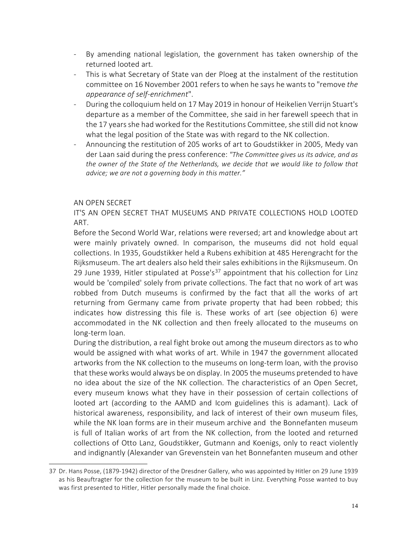- By amending national legislation, the government has taken ownership of the returned looted art.
- This is what Secretary of State van der Ploeg at the instalment of the restitution committee on 16 November 2001 refers to when he says he wants to "remove *the appearance of self-enrichment*".
- During the colloquium held on 17 May 2019 in honour of Heikelien Verrijn Stuart's departure as a member of the Committee, she said in her farewell speech that in the 17 years she had worked for the Restitutions Committee, she still did not know what the legal position of the State was with regard to the NK collection.
- Announcing the restitution of 205 works of art to Goudstikker in 2005, Medy van der Laan said during the press conference: *"The Committee gives us its advice, and as the owner of the State of the Netherlands, we decide that we would like to follow that advice; we are not a governing body in this matter."*

## AN OPEN SECRET

IT'S AN OPEN SECRET THAT MUSEUMS AND PRIVATE COLLECTIONS HOLD LOOTED ART.

Before the Second World War, relations were reversed; art and knowledge about art were mainly privately owned. In comparison, the museums did not hold equal collections. In 1935, Goudstikker held a Rubens exhibition at 485 Herengracht for the Rijksmuseum. The art dealers also held their sales exhibitions in the Rijksmuseum. On 29 June 1939, Hitler stipulated at Posse's<sup>[37](#page-13-0)</sup> appointment that his collection for Linz would be 'compiled' solely from private collections. The fact that no work of art was robbed from Dutch museums is confirmed by the fact that all the works of art returning from Germany came from private property that had been robbed; this indicates how distressing this file is. These works of art (see objection 6) were accommodated in the NK collection and then freely allocated to the museums on long-term loan.

During the distribution, a real fight broke out among the museum directors as to who would be assigned with what works of art. While in 1947 the government allocated artworks from the NK collection to the museums on long-term loan, with the proviso that these works would always be on display. In 2005 the museums pretended to have no idea about the size of the NK collection. The characteristics of an Open Secret, every museum knows what they have in their possession of certain collections of looted art (according to the AAMD and Icom guidelines this is adamant). Lack of historical awareness, responsibility, and lack of interest of their own museum files, while the NK loan forms are in their museum archive and the Bonnefanten museum is full of Italian works of art from the NK collection, from the looted and returned collections of Otto Lanz, Goudstikker, Gutmann and Koenigs, only to react violently and indignantly (Alexander van Grevenstein van het Bonnefanten museum and other

<span id="page-13-0"></span><sup>37</sup> Dr. Hans Posse, (1879-1942) director of the Dresdner Gallery, who was appointed by Hitler on 29 June 1939 as his Beauftragter for the collection for the museum to be built in Linz. Everything Posse wanted to buy was first presented to Hitler, Hitler personally made the final choice.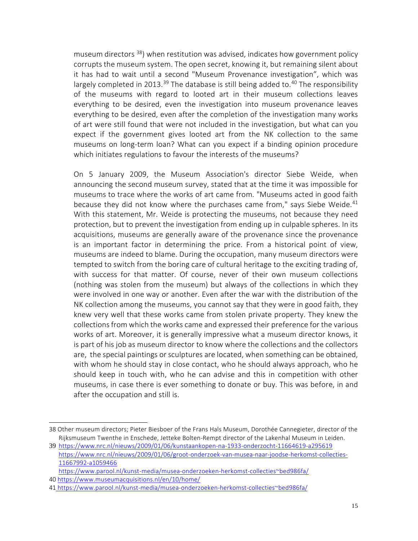museum directors <sup>[38](#page-14-0)</sup>) when restitution was advised, indicates how government policy corrupts the museum system. The open secret, knowing it, but remaining silent about it has had to wait until a second "Museum Provenance investigation", which was largely completed in 2013.<sup>[39](#page-14-1)</sup> The database is still being added to.<sup>[40](#page-14-2)</sup> The responsibility of the museums with regard to looted art in their museum collections leaves everything to be desired, even the investigation into museum provenance leaves everything to be desired, even after the completion of the investigation many works of art were still found that were not included in the investigation, but what can you expect if the government gives looted art from the NK collection to the same museums on long-term loan? What can you expect if a binding opinion procedure which initiates regulations to favour the interests of the museums?

On 5 January 2009, the Museum Association's director Siebe Weide, when announcing the second museum survey, stated that at the time it was impossible for museums to trace where the works of art came from. "Museums acted in good faith because they did not know where the purchases came from," says Siebe Weide. $41$ With this statement, Mr. Weide is protecting the museums, not because they need protection, but to prevent the investigation from ending up in culpable spheres. In its acquisitions, museums are generally aware of the provenance since the provenance is an important factor in determining the price. From a historical point of view, museums are indeed to blame. During the occupation, many museum directors were tempted to switch from the boring care of cultural heritage to the exciting trading of, with success for that matter. Of course, never of their own museum collections (nothing was stolen from the museum) but always of the collections in which they were involved in one way or another. Even after the war with the distribution of the NK collection among the museums, you cannot say that they were in good faith, they knew very well that these works came from stolen private property. They knew the collections from which the works came and expressed their preference for the various works of art. Moreover, it is generally impressive what a museum director knows, it is part of his job as museum director to know where the collections and the collectors are, the special paintings or sculptures are located, when something can be obtained, with whom he should stay in close contact, who he should always approach, who he should keep in touch with, who he can advise and this in competition with other museums, in case there is ever something to donate or buy. This was before, in and after the occupation and still is.

<span id="page-14-0"></span><sup>38</sup> Other museum directors; Pieter Biesboer of the Frans Hals Museum, Dorothée Cannegieter, director of the Rijksmuseum Twenthe in Enschede, Jetteke Bolten-Rempt director of the Lakenhal Museum in Leiden.

<span id="page-14-1"></span><sup>39</sup> <https://www.nrc.nl/nieuws/2009/01/06/kunstaankopen-na-1933-onderzocht-11664619-a295619> [https://www.nrc.nl/nieuws/2009/01/06/groot-onderzoek-van-musea-naar-joodse-herkomst-collecties-](https://www.nrc.nl/nieuws/2009/01/06/groot-onderzoek-van-musea-naar-joodse-herkomst-collecties-11667992-a1059466)[11667992-a1059466](https://www.nrc.nl/nieuws/2009/01/06/groot-onderzoek-van-musea-naar-joodse-herkomst-collecties-11667992-a1059466)

<span id="page-14-2"></span>[https://www.parool.nl/kunst-media/musea-onderzoeken-herkomst-collecties~bed986fa/](https://www.parool.nl/kunst-media/musea-onderzoeken-herkomst-collecties%7Ebed986fa/) 40 <https://www.museumacquisitions.nl/en/10/home/>

<span id="page-14-3"></span><sup>41</sup> [https://www.parool.nl/kunst-media/musea-onderzoeken-herkomst-collecties~bed986fa/](https://www.parool.nl/kunst-media/musea-onderzoeken-herkomst-collecties%7Ebed986fa/)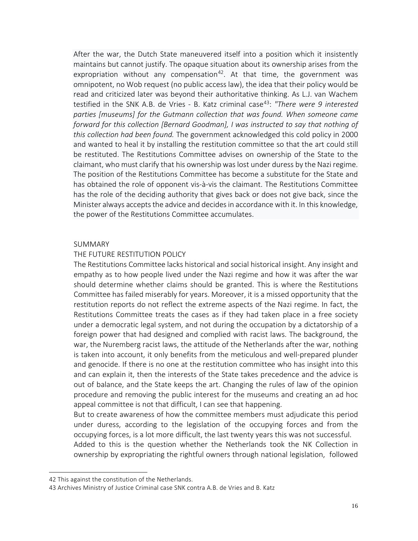After the war, the Dutch State maneuvered itself into a position which it insistently maintains but cannot justify. The opaque situation about its ownership arises from the expropriation without any compensation<sup>42</sup>. At that time, the government was omnipotent, no Wob request (no public access law), the idea that their policy would be read and criticized later was beyond their authoritative thinking. As L.J. van Wachem testified in the SNK A.B. de Vries - B. Katz criminal case<sup>43</sup>: *"There were 9 interested parties [museums] for the Gutmann collection that was found. When someone came forward for this collection [Bernard Goodman], I was instructed to say that nothing of this collection had been found.* The government acknowledged this cold policy in 2000 and wanted to heal it by installing the restitution committee so that the art could still be restituted. The Restitutions Committee advises on ownership of the State to the claimant, who must clarify that his ownership was lost under duress by the Nazi regime. The position of the Restitutions Committee has become a substitute for the State and has obtained the role of opponent vis-à-vis the claimant. The Restitutions Committee has the role of the deciding authority that gives back or does not give back, since the Minister always accepts the advice and decides in accordance with it. In this knowledge, the power of the Restitutions Committee accumulates.

#### SUMMARY

#### THE FUTURE RESTITUTION POLICY

The Restitutions Committee lacks historical and social historical insight. Any insight and empathy as to how people lived under the Nazi regime and how it was after the war should determine whether claims should be granted. This is where the Restitutions Committee has failed miserably for years. Moreover, it is a missed opportunity that the restitution reports do not reflect the extreme aspects of the Nazi regime. In fact, the Restitutions Committee treats the cases as if they had taken place in a free society under a democratic legal system, and not during the occupation by a dictatorship of a foreign power that had designed and complied with racist laws. The background, the war, the Nuremberg racist laws, the attitude of the Netherlands after the war, nothing is taken into account, it only benefits from the meticulous and well-prepared plunder and genocide. If there is no one at the restitution committee who has insight into this and can explain it, then the interests of the State takes precedence and the advice is out of balance, and the State keeps the art. Changing the rules of law of the opinion procedure and removing the public interest for the museums and creating an ad hoc appeal committee is not that difficult, I can see that happening.

But to create awareness of how the committee members must adjudicate this period under duress, according to the legislation of the occupying forces and from the occupying forces, is a lot more difficult, the last twenty years this was not successful.

Added to this is the question whether the Netherlands took the NK Collection in ownership by expropriating the rightful owners through national legislation, followed

<span id="page-15-0"></span><sup>42</sup> This against the constitution of the Netherlands.

<span id="page-15-1"></span><sup>43</sup> Archives Ministry of Justice Criminal case SNK contra A.B. de Vries and B. Katz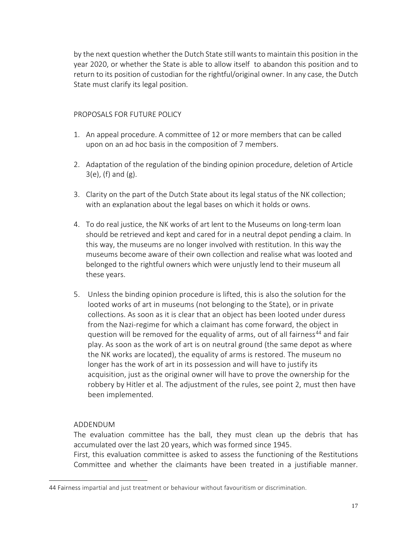by the next question whether the Dutch State still wants to maintain this position in the year 2020, or whether the State is able to allow itself to abandon this position and to return to its position of custodian for the rightful/original owner. In any case, the Dutch State must clarify its legal position.

### PROPOSALS FOR FUTURE POLICY

- 1. An appeal procedure. A committee of 12 or more members that can be called upon on an ad hoc basis in the composition of 7 members.
- 2. Adaptation of the regulation of the binding opinion procedure, deletion of Article 3(e), (f) and (g).
- 3. Clarity on the part of the Dutch State about its legal status of the NK collection; with an explanation about the legal bases on which it holds or owns.
- 4. To do real justice, the NK works of art lent to the Museums on long-term loan should be retrieved and kept and cared for in a neutral depot pending a claim. In this way, the museums are no longer involved with restitution. In this way the museums become aware of their own collection and realise what was looted and belonged to the rightful owners which were unjustly lend to their museum all these years.
- 5. Unless the binding opinion procedure is lifted, this is also the solution for the looted works of art in museums (not belonging to the State), or in private collections. As soon as it is clear that an object has been looted under duress from the Nazi-regime for which a claimant has come forward, the object in question will be removed for the equality of arms, out of all fairness<sup>[44](#page-16-0)</sup> and fair play. As soon as the work of art is on neutral ground (the same depot as where the NK works are located), the equality of arms is restored. The museum no longer has the work of art in its possession and will have to justify its acquisition, just as the original owner will have to prove the ownership for the robbery by Hitler et al. The adjustment of the rules, see point 2, must then have been implemented.

## ADDENDUM

The evaluation committee has the ball, they must clean up the debris that has accumulated over the last 20 years, which was formed since 1945.

First, this evaluation committee is asked to assess the functioning of the Restitutions Committee and whether the claimants have been treated in a justifiable manner.

<span id="page-16-0"></span><sup>44</sup> Fairness impartial and just treatment or behaviour without favouritism or discrimination.